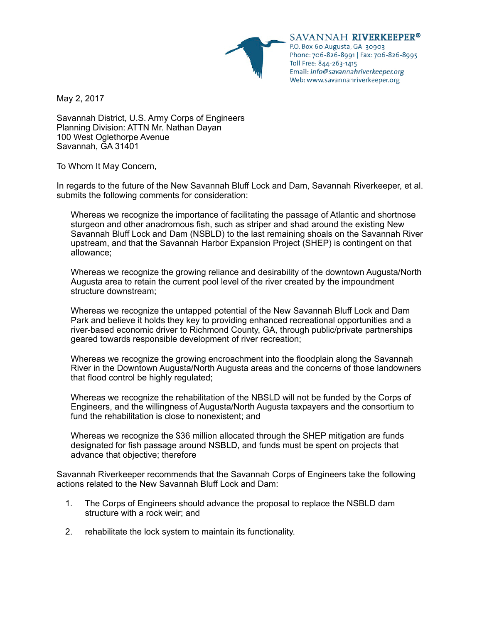

SAVANNAH RIVERKEEPER® P.O. Box 60 Augusta, GA 30903 Phone: 706-826-8991 | Fax: 706-826-8995 Toll Free: 844-263-1415 Email: info@savannahriverkeeper.org Web: www.savannahriverkeeper.org

May 2, 2017

Savannah District, U.S. Army Corps of Engineers Planning Division: ATTN Mr. Nathan Dayan 100 West Oglethorpe Avenue Savannah, GA 31401

To Whom It May Concern,

In regards to the future of the New Savannah Bluff Lock and Dam, Savannah Riverkeeper, et al. submits the following comments for consideration:

Whereas we recognize the importance of facilitating the passage of Atlantic and shortnose sturgeon and other anadromous fish, such as striper and shad around the existing New Savannah Bluff Lock and Dam (NSBLD) to the last remaining shoals on the Savannah River upstream, and that the Savannah Harbor Expansion Project (SHEP) is contingent on that allowance;

Whereas we recognize the growing reliance and desirability of the downtown Augusta/North Augusta area to retain the current pool level of the river created by the impoundment structure downstream;

Whereas we recognize the untapped potential of the New Savannah Bluff Lock and Dam Park and believe it holds they key to providing enhanced recreational opportunities and a river-based economic driver to Richmond County, GA, through public/private partnerships geared towards responsible development of river recreation;

Whereas we recognize the growing encroachment into the floodplain along the Savannah River in the Downtown Augusta/North Augusta areas and the concerns of those landowners that flood control be highly regulated;

Whereas we recognize the rehabilitation of the NBSLD will not be funded by the Corps of Engineers, and the willingness of Augusta/North Augusta taxpayers and the consortium to fund the rehabilitation is close to nonexistent; and

Whereas we recognize the \$36 million allocated through the SHEP mitigation are funds designated for fish passage around NSBLD, and funds must be spent on projects that advance that objective; therefore

Savannah Riverkeeper recommends that the Savannah Corps of Engineers take the following actions related to the New Savannah Bluff Lock and Dam:

- 1. The Corps of Engineers should advance the proposal to replace the NSBLD dam structure with a rock weir; and
- 2. rehabilitate the lock system to maintain its functionality.